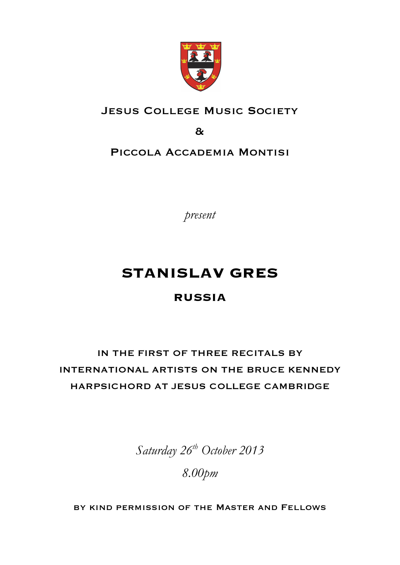

### JESUS COLLEGE MUSIC SOCIETY

&

PICCOLA ACCADEMIA MONTISI

*present*

# **STANISLAV GRES**

### **RUSSIA**

## IN THE FIRST OF THREE RECITALS BY INTERNATIONAL ARTISTS ON THE BRUCE KENNEDY HARPSICHORD AT JESUS COLLEGE CAMBRIDGE

*Saturday 26th October 2013*

*8.00pm*

by kind permission of the Master and Fellows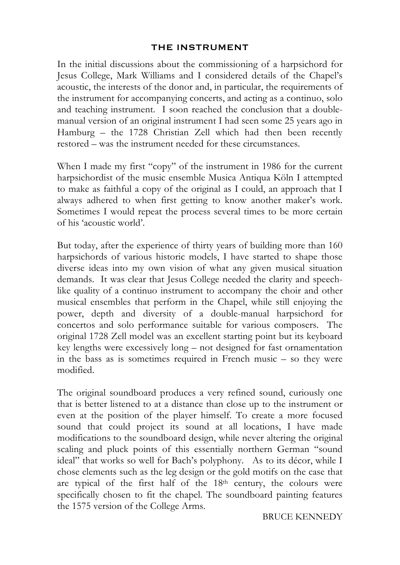#### THE INSTRUMENT

In the initial discussions about the commissioning of a harpsichord for Jesus College, Mark Williams and I considered details of the Chapel's acoustic, the interests of the donor and, in particular, the requirements of the instrument for accompanying concerts, and acting as a continuo, solo and teaching instrument. I soon reached the conclusion that a doublemanual version of an original instrument I had seen some 25 years ago in Hamburg – the 1728 Christian Zell which had then been recently restored – was the instrument needed for these circumstances.

When I made my first "copy" of the instrument in 1986 for the current harpsichordist of the music ensemble Musica Antiqua Köln I attempted to make as faithful a copy of the original as I could, an approach that I always adhered to when first getting to know another maker's work. Sometimes I would repeat the process several times to be more certain of his 'acoustic world'.

But today, after the experience of thirty years of building more than 160 harpsichords of various historic models, I have started to shape those diverse ideas into my own vision of what any given musical situation demands. It was clear that Jesus College needed the clarity and speechlike quality of a continuo instrument to accompany the choir and other musical ensembles that perform in the Chapel, while still enjoying the power, depth and diversity of a double-manual harpsichord for concertos and solo performance suitable for various composers. The original 1728 Zell model was an excellent starting point but its keyboard key lengths were excessively long – not designed for fast ornamentation in the bass as is sometimes required in French music – so they were modified.

The original soundboard produces a very refined sound, curiously one that is better listened to at a distance than close up to the instrument or even at the position of the player himself. To create a more focused sound that could project its sound at all locations, I have made modifications to the soundboard design, while never altering the original scaling and pluck points of this essentially northern German "sound ideal" that works so well for Bach's polyphony. As to its décor, while I chose elements such as the leg design or the gold motifs on the case that are typical of the first half of the 18<sup>th</sup> century, the colours were specifically chosen to fit the chapel. The soundboard painting features the 1575 version of the College Arms.

BRUCE KENNEDY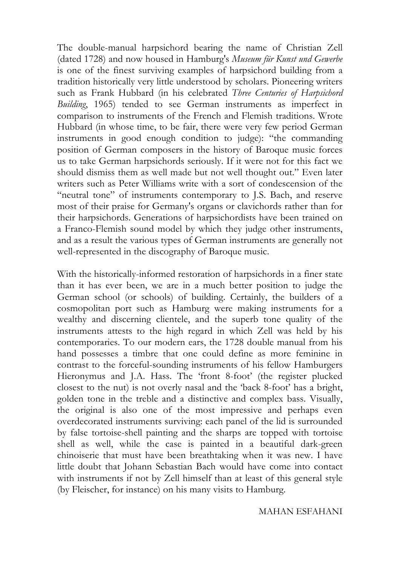The double-manual harpsichord bearing the name of Christian Zell (dated 1728) and now housed in Hamburg's *Museum für Kunst und Gewerbe* is one of the finest surviving examples of harpsichord building from a tradition historically very little understood by scholars. Pioneering writers such as Frank Hubbard (in his celebrated *Three Centuries of Harpsichord Building*, 1965) tended to see German instruments as imperfect in comparison to instruments of the French and Flemish traditions. Wrote Hubbard (in whose time, to be fair, there were very few period German instruments in good enough condition to judge): "the commanding position of German composers in the history of Baroque music forces us to take German harpsichords seriously. If it were not for this fact we should dismiss them as well made but not well thought out." Even later writers such as Peter Williams write with a sort of condescension of the "neutral tone" of instruments contemporary to J.S. Bach, and reserve most of their praise for Germany's organs or clavichords rather than for their harpsichords. Generations of harpsichordists have been trained on a Franco-Flemish sound model by which they judge other instruments, and as a result the various types of German instruments are generally not well-represented in the discography of Baroque music.

With the historically-informed restoration of harpsichords in a finer state than it has ever been, we are in a much better position to judge the German school (or schools) of building. Certainly, the builders of a cosmopolitan port such as Hamburg were making instruments for a wealthy and discerning clientele, and the superb tone quality of the instruments attests to the high regard in which Zell was held by his contemporaries. To our modern ears, the 1728 double manual from his hand possesses a timbre that one could define as more feminine in contrast to the forceful-sounding instruments of his fellow Hamburgers Hieronymus and J.A. Hass. The 'front 8-foot' (the register plucked closest to the nut) is not overly nasal and the 'back 8-foot' has a bright, golden tone in the treble and a distinctive and complex bass. Visually, the original is also one of the most impressive and perhaps even overdecorated instruments surviving: each panel of the lid is surrounded by false tortoise-shell painting and the sharps are topped with tortoise shell as well, while the case is painted in a beautiful dark-green chinoiserie that must have been breathtaking when it was new. I have little doubt that Johann Sebastian Bach would have come into contact with instruments if not by Zell himself than at least of this general style (by Fleischer, for instance) on his many visits to Hamburg.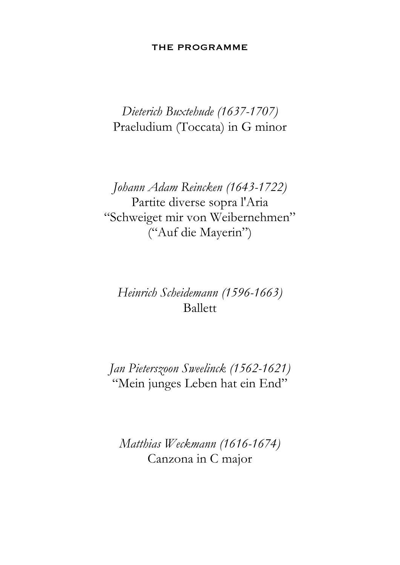#### THE PROGRAMME

## *Dieterich Buxtehude (1637-1707)* Praeludium (Toccata) in G minor

*Johann Adam Reincken (1643-1722)* Partite diverse sopra l'Aria "Schweiget mir von Weibernehmen" ("Auf die Mayerin")

## *Heinrich Scheidemann (1596-1663)* Ballett

*Jan Pieterszoon Sweelinck (1562-1621)* "Mein junges Leben hat ein End"

*Matthias Weckmann (1616-1674)* Canzona in C major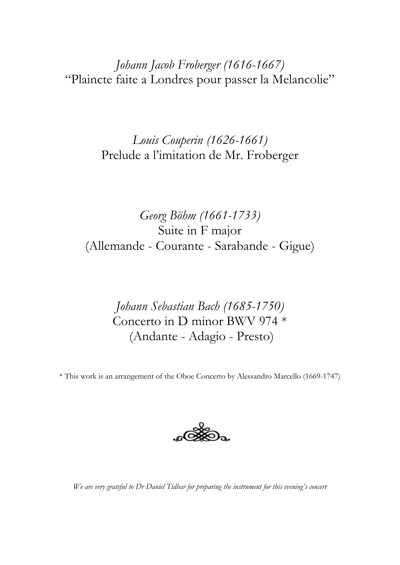*Johann Jacob Froberger (1616-1667)* "Plaincte faite a Londres pour passer la Melancolie"

> *Louis Couperin (1626-1661)* Prelude a l'imitation de Mr. Froberger

*Georg Böhm (1661-1733)* Suite in F major (Allemande - Courante - Sarabande - Gigue)

> *Johann Sebastian Bach (1685-1750)* Concerto in D minor BWV 974 \* (Andante - Adagio - Presto)

\* This work is an arrangement of the Oboe Concerto by Alessandro Marcello (1669-1747)



*We are very grateful to Dr Daniel Tidhar for preparing the instrument for this evening's concert*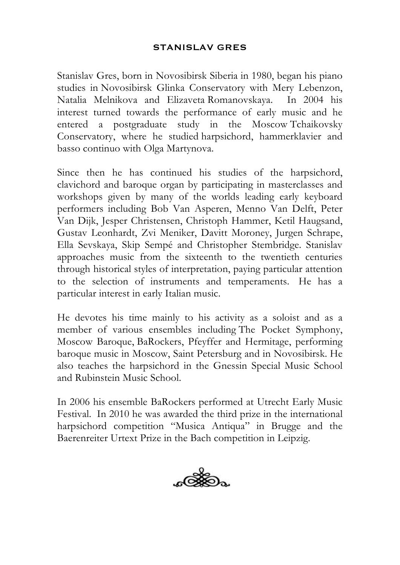#### STANISLAV GRES

Stanislav Gres, born in Novosibirsk Siberia in 1980, began his piano studies in Novosibirsk Glinka Conservatory with Mery Lebenzon, Natalia Melnikova and Elizaveta Romanovskaya. In 2004 his interest turned towards the performance of early music and he entered a postgraduate study in the Moscow Tchaikovsky Conservatory, where he studied harpsichord, hammerklavier and basso continuo with Olga Martynova.

Since then he has continued his studies of the harpsichord, clavichord and baroque organ by participating in masterclasses and workshops given by many of the worlds leading early keyboard performers including Bob Van Asperen, Menno Van Delft, Peter Van Dijk, Jesper Christensen, Christoph Hammer, Ketil Haugsand, Gustav Leonhardt, Zvi Meniker, Davitt Moroney, Jurgen Schrape, Ella Sevskaya, Skip Sempé and Christopher Stembridge. Stanislav approaches music from the sixteenth to the twentieth centuries through historical styles of interpretation, paying particular attention to the selection of instruments and temperaments. He has a particular interest in early Italian music.

He devotes his time mainly to his activity as a soloist and as a member of various ensembles including The Pocket Symphony, Moscow Baroque, BaRockers, Pfeyffer and Hermitage, performing baroque music in Moscow, Saint Petersburg and in Novosibirsk. He also teaches the harpsichord in the Gnessin Special Music School and Rubinstein Music School.

In 2006 his ensemble BaRockers performed at Utrecht Early Music Festival. In 2010 he was awarded the third prize in the international harpsichord competition "Musica Antiqua" in Brugge and the Baerenreiter Urtext Prize in the Bach competition in Leipzig.

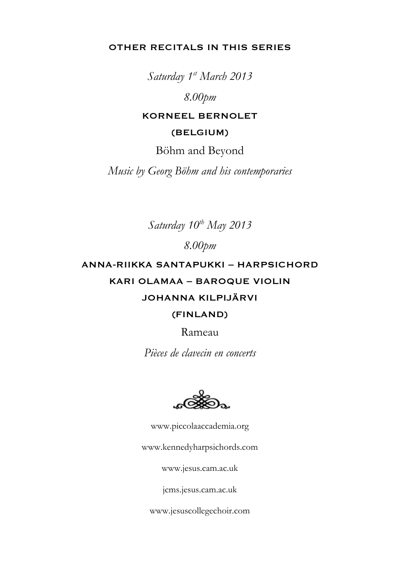OTHER RECITALS IN THIS SERIES

*Saturday 1st March 2013*

*8.00pm*

KORNEEL BERNOLET

(BELGIUM)

Böhm and Beyond

*Music by Georg Böhm and his contemporaries*

Saturday  $10^{th}$  May 2013

*8.00pm*

ANNA-RIIKKA SANTAPUKKI – HARPSICHORD KARI OLAMAA – BAROQUE VIOLIN JOHANNA KILPIJÄRVI

(FINLAND)

Rameau

*Pièces de clavecin en concerts*

www.piccolaaccademia.org

www.kennedyharpsichords.com

www.jesus.cam.ac.uk

jcms.jesus.cam.ac.uk

www.jesuscollegechoir.com